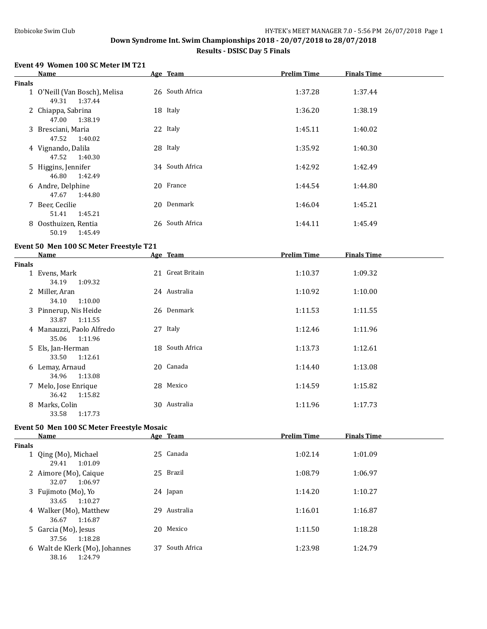#### **Down Syndrome Int. Swim Championships 2018 - 20/07/2018 to 28/07/2018**

#### **Results - DSISC Day 5 Finals**

#### **Event 49 Women 100 SC Meter IM T21**

|               | <b>Name</b>                                       | Age Team        | <b>Prelim Time</b> | <b>Finals Time</b> |  |
|---------------|---------------------------------------------------|-----------------|--------------------|--------------------|--|
| <b>Finals</b> |                                                   |                 |                    |                    |  |
|               | 1 O'Neill (Van Bosch), Melisa<br>1:37.44<br>49.31 | 26 South Africa | 1:37.28            | 1:37.44            |  |
|               | 2 Chiappa, Sabrina<br>1:38.19<br>47.00            | 18 Italy        | 1:36.20            | 1:38.19            |  |
|               | 3 Bresciani, Maria<br>47.52<br>1:40.02            | 22 Italy        | 1:45.11            | 1:40.02            |  |
|               | 4 Vignando, Dalila<br>1:40.30<br>47.52            | 28 Italy        | 1:35.92            | 1:40.30            |  |
|               | 5 Higgins, Jennifer<br>1:42.49<br>46.80           | 34 South Africa | 1:42.92            | 1:42.49            |  |
|               | 6 Andre, Delphine<br>47.67<br>1:44.80             | 20 France       | 1:44.54            | 1:44.80            |  |
|               | 7 Beer, Cecilie<br>1:45.21<br>51.41               | 20 Denmark      | 1:46.04            | 1:45.21            |  |
|               | 8 Oosthuizen, Rentia<br>1:45.49<br>50.19          | 26 South Africa | 1:44.11            | 1:45.49            |  |

#### **Event 50 Men 100 SC Meter Freestyle T21**

|               | <b>Name</b>               | Age Team         | <b>Prelim Time</b> | <b>Finals Time</b> |  |
|---------------|---------------------------|------------------|--------------------|--------------------|--|
| <b>Finals</b> |                           |                  |                    |                    |  |
|               | 1 Evens, Mark             | 21 Great Britain | 1:10.37            | 1:09.32            |  |
|               | 34.19<br>1:09.32          |                  |                    |                    |  |
|               | 2 Miller, Aran            | 24 Australia     | 1:10.92            | 1:10.00            |  |
|               | 34.10<br>1:10.00          |                  |                    |                    |  |
|               | 3 Pinnerup, Nis Heide     | 26 Denmark       | 1:11.53            | 1:11.55            |  |
|               | 33.87<br>1:11.55          |                  |                    |                    |  |
|               | 4 Manauzzi, Paolo Alfredo | 27 Italy         | 1:12.46            | 1:11.96            |  |
|               | 1:11.96<br>35.06          |                  |                    |                    |  |
|               | 5 Els, Jan-Herman         | 18 South Africa  | 1:13.73            | 1:12.61            |  |
|               | 1:12.61<br>33.50          |                  |                    |                    |  |
|               | 6 Lemay, Arnaud           | 20 Canada        | 1:14.40            | 1:13.08            |  |
|               | 1:13.08<br>34.96          |                  |                    |                    |  |
|               | 7 Melo, Jose Enrique      | 28 Mexico        | 1:14.59            | 1:15.82            |  |
|               | 36.42<br>1:15.82          |                  |                    |                    |  |
| 8             | Marks, Colin              | 30 Australia     | 1:11.96            | 1:17.73            |  |
|               | 1:17.73<br>33.58          |                  |                    |                    |  |

#### **Event 50 Men 100 SC Meter Freestyle Mosaic**

|               | Name                                               |     | Age Team     | <b>Prelim Time</b> | <b>Finals Time</b> |  |
|---------------|----------------------------------------------------|-----|--------------|--------------------|--------------------|--|
| <b>Finals</b> |                                                    |     |              |                    |                    |  |
|               | 1 Qing (Mo), Michael<br>1:01.09<br>29.41           |     | 25 Canada    | 1:02.14            | 1:01.09            |  |
|               | 2 Aimore (Mo), Caique<br>1:06.97<br>32.07          |     | 25 Brazil    | 1:08.79            | 1:06.97            |  |
|               | 3 Fujimoto (Mo), Yo<br>1:10.27<br>33.65            |     | 24 Japan     | 1:14.20            | 1:10.27            |  |
|               | 4 Walker (Mo), Matthew<br>1:16.87<br>36.67         | 29. | Australia    | 1:16.01            | 1:16.87            |  |
|               | 5 Garcia (Mo), Jesus<br>1:18.28<br>37.56           | 20. | Mexico       | 1:11.50            | 1:18.28            |  |
|               | 6 Walt de Klerk (Mo), Johannes<br>1:24.79<br>38.16 | 37  | South Africa | 1:23.98            | 1:24.79            |  |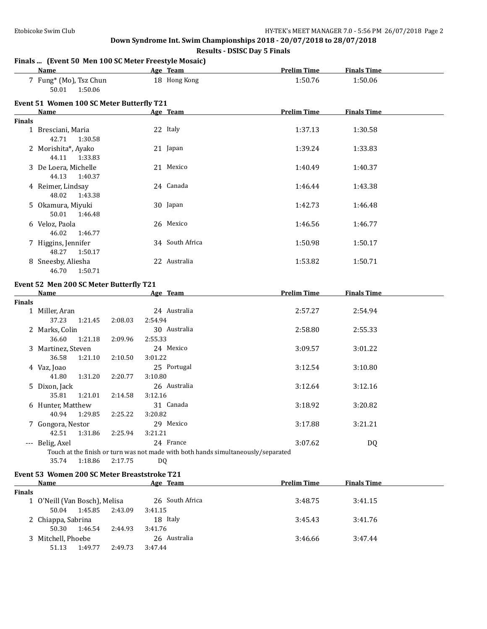#### **Down Syndrome Int. Swim Championships 2018 - 20/07/2018 to 28/07/2018**

**Results - DSISC Day 5 Finals**

## **Finals ... (Event 50 Men 100 SC Meter Freestyle Mosaic)**

|               | <b>Name</b>                                | Age Team        | <b>Prelim Time</b> | <b>Finals Time</b> |  |
|---------------|--------------------------------------------|-----------------|--------------------|--------------------|--|
|               | 7 Fung* (Mo), Tsz Chun<br>50.01<br>1:50.06 | 18 Hong Kong    | 1:50.76            | 1:50.06            |  |
|               | Event 51 Women 100 SC Meter Butterfly T21  |                 |                    |                    |  |
|               | Name                                       | Age Team        | <b>Prelim Time</b> | <b>Finals Time</b> |  |
| <b>Finals</b> |                                            |                 |                    |                    |  |
|               | 1 Bresciani, Maria<br>42.71<br>1:30.58     | 22 Italy        | 1:37.13            | 1:30.58            |  |
|               | 2 Morishita*, Ayako<br>44.11<br>1:33.83    | 21 Japan        | 1:39.24            | 1:33.83            |  |
|               | 3 De Loera, Michelle<br>44.13<br>1:40.37   | 21 Mexico       | 1:40.49            | 1:40.37            |  |
|               | 4 Reimer, Lindsay<br>48.02<br>1:43.38      | 24 Canada       | 1:46.44            | 1:43.38            |  |
|               | 5 Okamura, Miyuki<br>50.01<br>1:46.48      | 30 Japan        | 1:42.73            | 1:46.48            |  |
|               | 6 Veloz, Paola<br>46.02<br>1:46.77         | 26 Mexico       | 1:46.56            | 1:46.77            |  |
|               | 7 Higgins, Jennifer<br>48.27<br>1:50.17    | 34 South Africa | 1:50.98            | 1:50.17            |  |
|               | 8 Sneesby, Aliesha<br>46.70<br>1:50.71     | 22 Australia    | 1:53.82            | 1:50.71            |  |
|               | Event 52 Men 200 SC Meter Butterfly T21    |                 |                    |                    |  |
|               | <b>Name</b>                                | Age Team        | <b>Prelim Time</b> | <b>Finals Time</b> |  |
| <b>Finals</b> |                                            |                 |                    |                    |  |

| <b>Finals</b> |                    |         |         |                                                                                   |         |         |
|---------------|--------------------|---------|---------|-----------------------------------------------------------------------------------|---------|---------|
|               | 1 Miller, Aran     |         |         | 24 Australia                                                                      | 2:57.27 | 2:54.94 |
|               | 37.23              | 1:21.45 | 2:08.03 | 2:54.94                                                                           |         |         |
|               | 2 Marks, Colin     |         |         | 30 Australia                                                                      | 2:58.80 | 2:55.33 |
|               | 36.60              | 1:21.18 | 2:09.96 | 2:55.33                                                                           |         |         |
|               | 3 Martinez, Steven |         |         | 24 Mexico                                                                         | 3:09.57 | 3:01.22 |
|               | 36.58              | 1:21.10 | 2:10.50 | 3:01.22                                                                           |         |         |
|               | 4 Vaz, Joao        |         |         | 25 Portugal                                                                       | 3:12.54 | 3:10.80 |
|               | 41.80              | 1:31.20 | 2:20.77 | 3:10.80                                                                           |         |         |
|               | 5 Dixon, Jack      |         |         | 26 Australia                                                                      | 3:12.64 | 3:12.16 |
|               | 35.81              | 1:21.01 | 2:14.58 | 3:12.16                                                                           |         |         |
|               | 6 Hunter, Matthew  |         |         | 31 Canada                                                                         | 3:18.92 | 3:20.82 |
|               | 40.94              | 1:29.85 | 2:25.22 | 3:20.82                                                                           |         |         |
|               | 7 Gongora, Nestor  |         |         | 29 Mexico                                                                         | 3:17.88 | 3:21.21 |
|               | 42.51              | 1:31.86 | 2:25.94 | 3:21.21                                                                           |         |         |
|               | --- Belig, Axel    |         |         | 24 France                                                                         | 3:07.62 | DQ      |
|               |                    |         |         | Touch at the finish or turn was not made with both hands simultaneously/separated |         |         |
|               | 35.74              | 1:18.86 | 2:17.75 | D <sub>0</sub>                                                                    |         |         |

#### **Event 53 Women 200 SC Meter Breaststroke T21**

|               | Name                          |         | Age Team        | <b>Prelim Time</b> | <b>Finals Time</b> |  |
|---------------|-------------------------------|---------|-----------------|--------------------|--------------------|--|
| <b>Finals</b> |                               |         |                 |                    |                    |  |
|               | 1 O'Neill (Van Bosch), Melisa |         | 26 South Africa | 3:48.75            | 3:41.15            |  |
|               | 1:45.85<br>50.04              | 2:43.09 | 3:41.15         |                    |                    |  |
|               | 2 Chiappa, Sabrina            |         | 18 Italy        | 3:45.43            | 3:41.76            |  |
|               | 1:46.54<br>50.30              | 2:44.93 | 3:41.76         |                    |                    |  |
|               | 3 Mitchell, Phoebe            |         | 26 Australia    | 3:46.66            | 3:47.44            |  |
|               | 1:49.77<br>51.13              | 2:49.73 | 3:47.44         |                    |                    |  |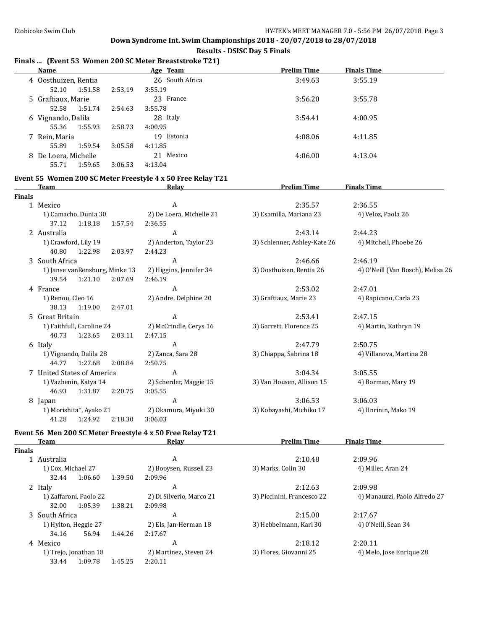$\overline{a}$ 

**Prelim Time Finals Time** 

#### **Down Syndrome Int. Swim Championships 2018 - 20/07/2018 to 28/07/2018**

# **Results - DSISC Day 5 Finals**

## **Finals ... (Event 53 Women 200 SC Meter Breaststroke T21)**

|   | Name                 |         | Age Team        | <b>Prelim Time</b> | <b>Finals Time</b> |  |
|---|----------------------|---------|-----------------|--------------------|--------------------|--|
|   | 4 Oosthuizen, Rentia |         | 26 South Africa | 3:49.63            | 3:55.19            |  |
|   | 1:51.58<br>52.10     | 2:53.19 | 3:55.19         |                    |                    |  |
|   | 5 Graftiaux, Marie   |         | 23 France       | 3:56.20            | 3:55.78            |  |
|   | 52.58<br>1:51.74     | 2:54.63 | 3:55.78         |                    |                    |  |
| 6 | Vignando, Dalila     |         | 28 Italy        | 3:54.41            | 4:00.95            |  |
|   | 1:55.93<br>55.36     | 2:58.73 | 4:00.95         |                    |                    |  |
|   | Rein, Maria          |         | 19 Estonia      | 4:08.06            | 4:11.85            |  |
|   | 55.89<br>1:59.54     | 3:05.58 | 4:11.85         |                    |                    |  |
| 8 | De Loera, Michelle   |         | 21 Mexico       | 4:06.00            | 4:13.04            |  |
|   | 1:59.65<br>55.71     | 3:06.53 | 4:13.04         |                    |                    |  |

# **Event 55 Women 200 SC Meter Freestyle 4 x 50 Free Relay T21**

|              | <b>Team</b>                     |         | <b>Relay</b>             | <u>Prelim Time</u>           | <b>Finals Time</b>                |
|--------------|---------------------------------|---------|--------------------------|------------------------------|-----------------------------------|
| Finals       |                                 |         |                          |                              |                                   |
| $\mathbf{1}$ | Mexico                          |         | A                        | 2:35.57                      | 2:36.55                           |
|              | 1) Camacho, Dunia 30            |         | 2) De Loera, Michelle 21 | 3) Esamilla, Mariana 23      | 4) Veloz, Paola 26                |
|              | 1:18.18<br>37.12                | 1:57.54 | 2:36.55                  |                              |                                   |
|              | 2 Australia                     |         | A                        | 2:43.14                      | 2:44.23                           |
|              | 1) Crawford, Lily 19            |         | 2) Anderton, Taylor 23   | 3) Schlenner, Ashley-Kate 26 | 4) Mitchell, Phoebe 26            |
|              | 40.80<br>1:22.98                | 2:03.97 | 2:44.23                  |                              |                                   |
|              | 3 South Africa                  |         | A                        | 2:46.66                      | 2:46.19                           |
|              | 1) Janse van Rensburg, Minke 13 |         | 2) Higgins, Jennifer 34  | 3) Oosthuizen, Rentia 26     | 4) O'Neill (Van Bosch), Melisa 26 |
|              | 1:21.10<br>39.54                | 2:07.69 | 2:46.19                  |                              |                                   |
|              | 4 France                        |         | A                        | 2:53.02                      | 2:47.01                           |
|              | 1) Renou, Cleo 16               |         | 2) Andre, Delphine 20    | 3) Graftiaux, Marie 23       | 4) Rapicano, Carla 23             |
|              | 38.13<br>1:19.00                | 2:47.01 |                          |                              |                                   |
|              | 5 Great Britain                 |         | A                        | 2:53.41                      | 2:47.15                           |
|              | 1) Faithfull, Caroline 24       |         | 2) McCrindle, Cerys 16   | 3) Garrett, Florence 25      | 4) Martin, Kathryn 19             |
|              | 1:23.65<br>40.73                | 2:03.11 | 2:47.15                  |                              |                                   |
|              | 6 Italy                         |         | A                        | 2:47.79                      | 2:50.75                           |
|              | 1) Vignando, Dalila 28          |         | 2) Zanca, Sara 28        | 3) Chiappa, Sabrina 18       | 4) Villanova, Martina 28          |
|              | 1:27.68<br>44.77                | 2:08.84 | 2:50.75                  |                              |                                   |
|              | 7 United States of America      |         | A                        | 3:04.34                      | 3:05.55                           |
|              | 1) Vazhenin, Katya 14           |         | 2) Scherder, Maggie 15   | 3) Van Housen, Allison 15    | 4) Borman, Mary 19                |
|              | 46.93<br>1:31.87                | 2:20.75 | 3:05.55                  |                              |                                   |
|              | 8 Japan                         |         | A                        | 3:06.53                      | 3:06.03                           |
|              | 1) Morishita*, Ayako 21         |         | 2) Okamura, Miyuki 30    | 3) Kobayashi, Michiko 17     | 4) Unrinin, Mako 19               |
|              | 41.28<br>1:24.92                | 2:18.30 | 3:06.03                  |                              |                                   |
|              |                                 |         |                          |                              |                                   |

# **Event 56 Men 200 SC Meter Freestyle 4 x 50 Free Relay T21**

**Finals**

| ıals |                        |         |         |                          |                            |                               |
|------|------------------------|---------|---------|--------------------------|----------------------------|-------------------------------|
|      | Australia              |         |         | A                        | 2:10.48                    | 2:09.96                       |
|      | 1) Cox, Michael 27     |         |         | 2) Booysen, Russell 23   | 3) Marks, Colin 30         | 4) Miller, Aran 24            |
|      | 32.44                  | 1:06.60 | 1:39.50 | 2:09.96                  |                            |                               |
| 2    | Italy                  |         |         | A                        | 2:12.63                    | 2:09.98                       |
|      | 1) Zaffaroni, Paolo 22 |         |         | 2) Di Silverio, Marco 21 | 3) Piccinini, Francesco 22 | 4) Manauzzi, Paolo Alfredo 27 |
|      | 32.00                  | 1:05.39 | 1:38.21 | 2:09.98                  |                            |                               |
|      | 3 South Africa         |         |         | A                        | 2:15.00                    | 2:17.67                       |
|      | 1) Hylton, Heggie 27   |         |         | 2) Els, Jan-Herman 18    | 3) Hebbelmann, Karl 30     | 4) 0'Neill, Sean 34           |
|      | 34.16                  | 56.94   | 1:44.26 | 2:17.67                  |                            |                               |
| 4    | Mexico                 |         |         | A                        | 2:18.12                    | 2:20.11                       |
|      | 1) Trejo, Jonathan 18  |         |         | 2) Martinez, Steven 24   | 3) Flores, Giovanni 25     | 4) Melo, Jose Enrique 28      |
|      | 33.44                  | 1:09.78 | 1:45.25 | 2:20.11                  |                            |                               |
|      |                        |         |         |                          |                            |                               |